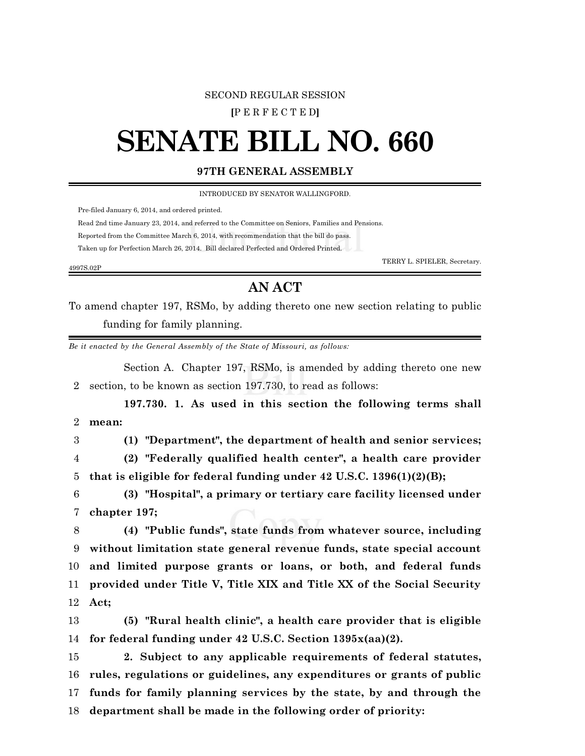## SECOND REGULAR SESSION

**[**P E R F E C T E D**]**

## **SENATE BILL NO. 660**

## **97TH GENERAL ASSEMBLY**

INTRODUCED BY SENATOR WALLINGFORD.

Pre-filed January 6, 2014, and ordered printed.

Read 2nd time January 23, 2014, and referred to the Committee on Seniors, Families and Pensions.

Reported from the Committee March 6, 2014, with recommendation that the bill do pass.

Taken up for Perfection March 26, 2014. Bill declared Perfected and Ordered Printed.

TERRY L. SPIELER, Secretary.

## **AN ACT**

To amend chapter 197, RSMo, by adding thereto one new section relating to public funding for family planning.

*Be it enacted by the General Assembly of the State of Missouri, as follows:*

Section A. Chapter 197, RSMo, is amended by adding thereto one new 2 section, to be known as section 197.730, to read as follows:

**197.730. 1. As used in this section the following terms shall** 2 **mean: (1) "Department", the department of health and senior services; (2) "Federally qualified health center", a health care provider that is eligible for federal funding under 42 U.S.C. 1396(1)(2)(B); (3) "Hospital", a primary or tertiary care facility licensed under chapter 197; (4) "Public funds", state funds from whatever source, including without limitation state general revenue funds, state special account and limited purpose grants or loans, or both, and federal funds**

12 **Act;**

4997S.02P

13 **(5) "Rural health clinic", a health care provider that is eligible** 14 **for federal funding under 42 U.S.C. Section 1395x(aa)(2).**

11 **provided under Title V, Title XIX and Title XX of the Social Security**

 **2. Subject to any applicable requirements of federal statutes, rules, regulations or guidelines, any expenditures or grants of public funds for family planning services by the state, by and through the department shall be made in the following order of priority:**